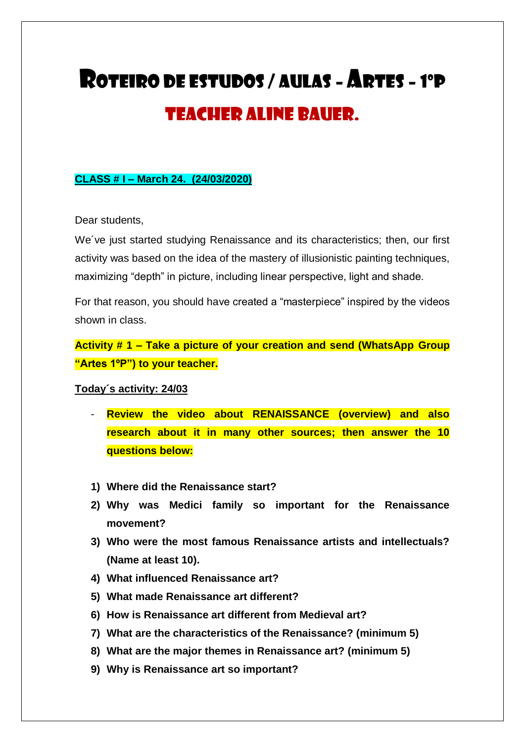## ROTEIRO DE ESTUDOS / AULAS - ARTES - 1ºP Teacher Aline Bauer.

## **CLASS # I – March 24. (24/03/2020)**

Dear students,

We´ve just started studying Renaissance and its characteristics; then, our first activity was based on the idea of the mastery of illusionistic painting techniques, maximizing "depth" in picture, including linear perspective, light and shade.

For that reason, you should have created a "masterpiece" inspired by the videos shown in class.

**Activity # 1 – Take a picture of your creation and send (WhatsApp Group "Artes 1ºP") to your teacher.**

## **Today´s activity: 24/03**

- **Review the video about RENAISSANCE (overview) and also research about it in many other sources; then answer the 10 questions below:**
- **1) Where did the Renaissance start?**
- **2) Why was Medici family so important for the Renaissance movement?**
- **3) Who were the most famous Renaissance artists and intellectuals? (Name at least 10).**
- **4) What influenced Renaissance art?**
- **5) What made Renaissance art different?**
- **6) How is Renaissance art different from Medieval art?**
- **7) What are the characteristics of the Renaissance? (minimum 5)**
- **8) What are the major themes in Renaissance art? (minimum 5)**
- **9) Why is Renaissance art so important?**